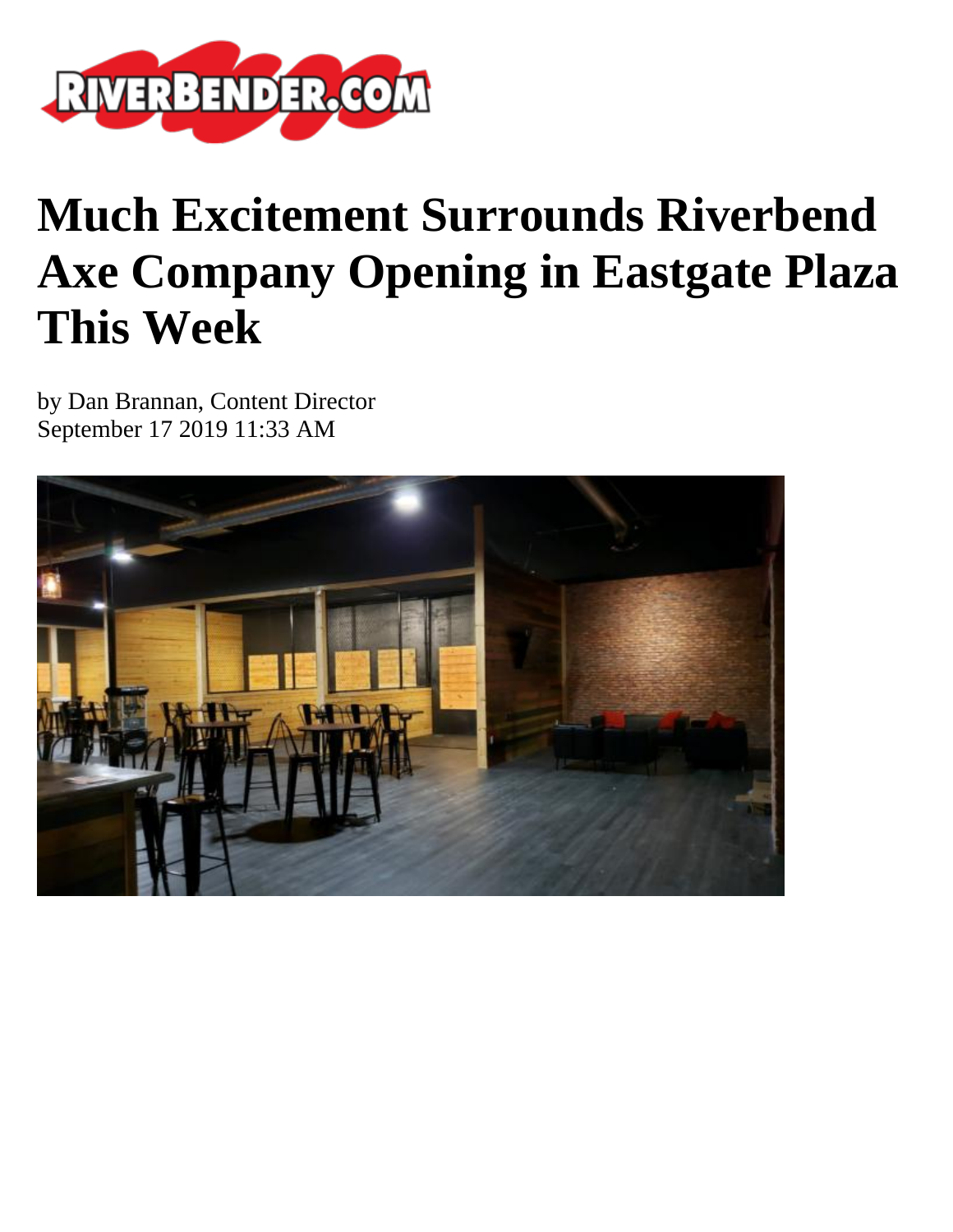

## **Much Excitement Surrounds Riverbend Axe Company Opening in Eastgate Plaza This Week**

by Dan Brannan, Content Director September 17 2019 11:33 AM

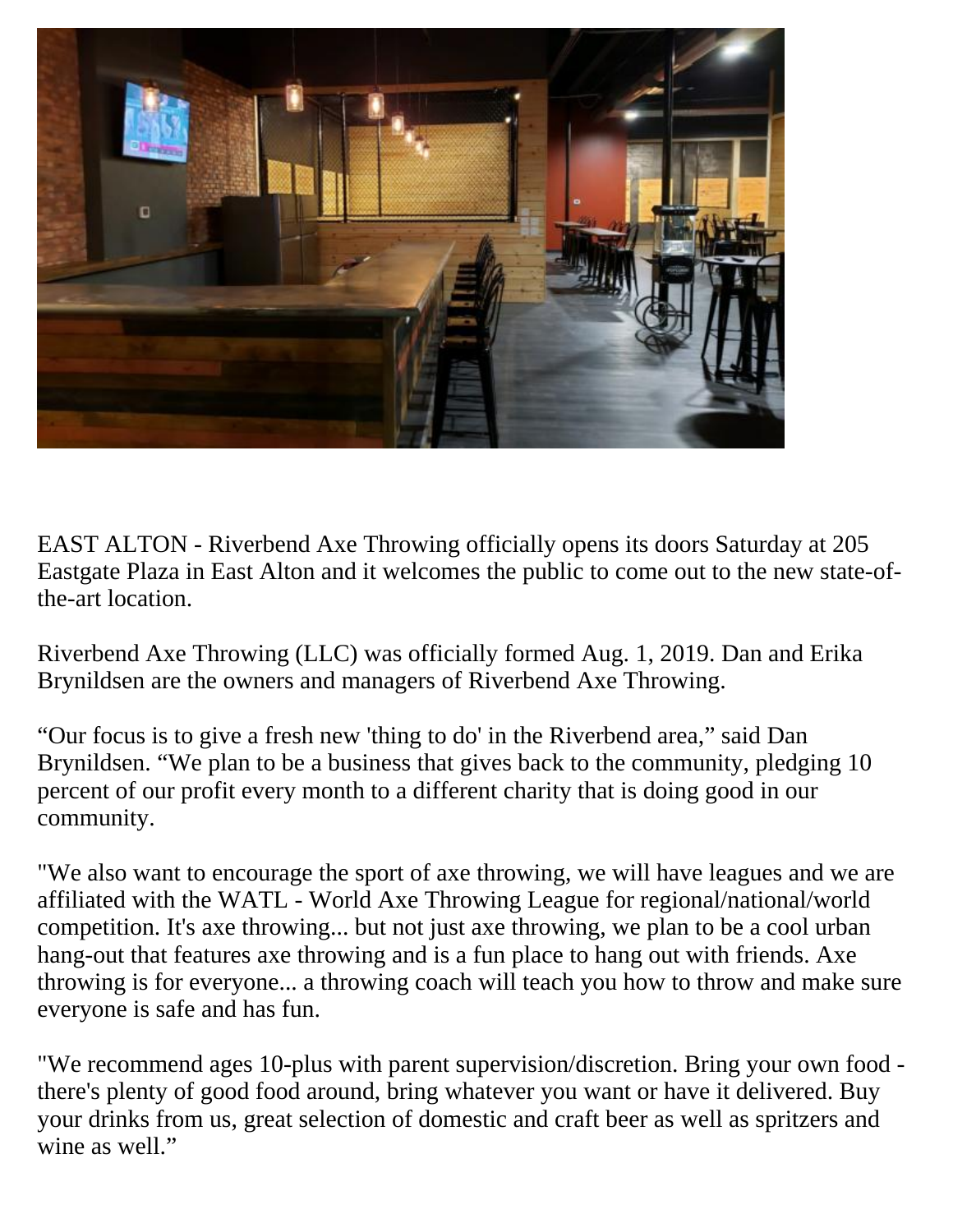

EAST ALTON - Riverbend Axe Throwing officially opens its doors Saturday at 205 Eastgate Plaza in East Alton and it welcomes the public to come out to the new state-ofthe-art location.

Riverbend Axe Throwing (LLC) was officially formed Aug. 1, 2019. Dan and Erika Brynildsen are the owners and managers of Riverbend Axe Throwing.

"Our focus is to give a fresh new 'thing to do' in the Riverbend area," said Dan Brynildsen. "We plan to be a business that gives back to the community, pledging 10 percent of our profit every month to a different charity that is doing good in our community.

"We also want to encourage the sport of axe throwing, we will have leagues and we are affiliated with the WATL - World Axe Throwing League for regional/national/world competition. It's axe throwing... but not just axe throwing, we plan to be a cool urban hang-out that features axe throwing and is a fun place to hang out with friends. Axe throwing is for everyone... a throwing coach will teach you how to throw and make sure everyone is safe and has fun.

"We recommend ages 10-plus with parent supervision/discretion. Bring your own food there's plenty of good food around, bring whatever you want or have it delivered. Buy your drinks from us, great selection of domestic and craft beer as well as spritzers and wine as well."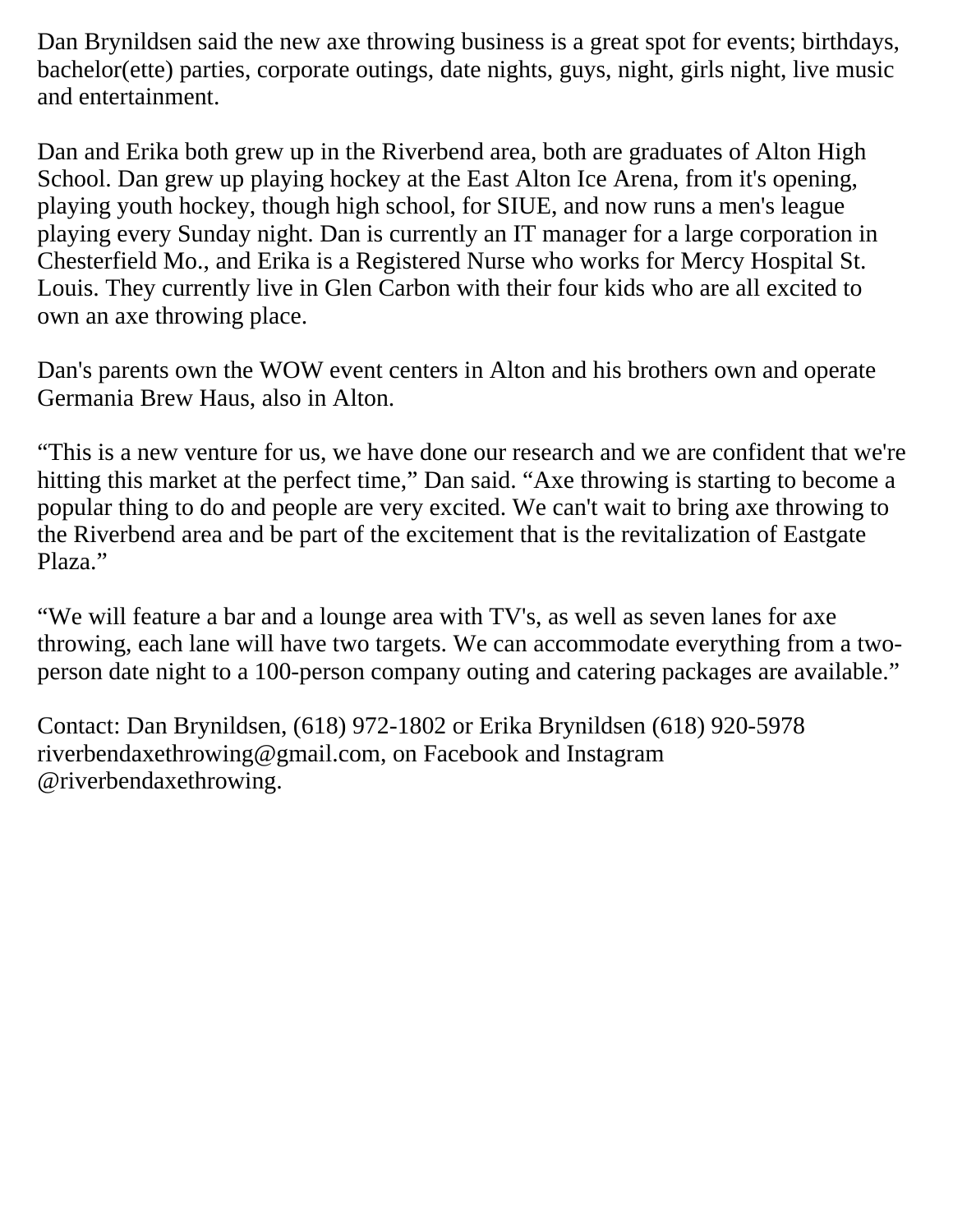Dan Brynildsen said the new axe throwing business is a great spot for events; birthdays, bachelor(ette) parties, corporate outings, date nights, guys, night, girls night, live music and entertainment.

Dan and Erika both grew up in the Riverbend area, both are graduates of Alton High School. Dan grew up playing hockey at the East Alton Ice Arena, from it's opening, playing youth hockey, though high school, for SIUE, and now runs a men's league playing every Sunday night. Dan is currently an IT manager for a large corporation in Chesterfield Mo., and Erika is a Registered Nurse who works for Mercy Hospital St. Louis. They currently live in Glen Carbon with their four kids who are all excited to own an axe throwing place.

Dan's parents own the WOW event centers in Alton and his brothers own and operate Germania Brew Haus, also in Alton.

"This is a new venture for us, we have done our research and we are confident that we're hitting this market at the perfect time," Dan said. "Axe throwing is starting to become a popular thing to do and people are very excited. We can't wait to bring axe throwing to the Riverbend area and be part of the excitement that is the revitalization of Eastgate Plaza."

"We will feature a bar and a lounge area with TV's, as well as seven lanes for axe throwing, each lane will have two targets. We can accommodate everything from a twoperson date night to a 100-person company outing and catering packages are available."

Contact: Dan Brynildsen, (618) 972-1802 or Erika Brynildsen (618) 920-5978 riverbendaxethrowing@gmail.com, on Facebook and Instagram @riverbendaxethrowing.